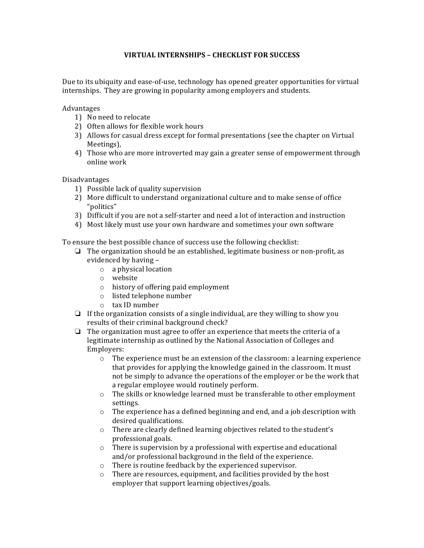## **VIRTUAL INTERNSHIPS – CHECKLIST FOR SUCCESS**

Due to its ubiquity and ease-of-use, technology has opened greater opportunities for virtual internships. They are growing in popularity among employers and students.

Advantages

- 1) No need to relocate
- 2) Often allows for flexible work hours
- 3) Allows for casual dress except for formal presentations (see the chapter on Virtual Meetings),
- 4) Those who are more introverted may gain a greater sense of empowerment through online work

Disadvantages

- 1) Possible lack of quality supervision
- 2) More difficult to understand organizational culture and to make sense of office "politics"
- 3) Difficult if you are not a self-starter and need a lot of interaction and instruction
- 4) Most likely must use your own hardware and sometimes your own software

To ensure the best possible chance of success use the following checklist:

- $\Box$  The organization should be an established, legitimate business or non-profit, as evidenced by having -
	- $\circ$  a physical location
	- o website
	- $\circ$  history of offering paid employment
	- o listed telephone number
	- o tax ID number
- $\Box$  If the organization consists of a single individual, are they willing to show you results of their criminal background check?
- $\Box$  The organization must agree to offer an experience that meets the criteria of a legitimate internship as outlined by the National Association of Colleges and Employers:
	- $\circ$  The experience must be an extension of the classroom: a learning experience that provides for applying the knowledge gained in the classroom. It must not be simply to advance the operations of the employer or be the work that a regular employee would routinely perform.
	- $\circ$  The skills or knowledge learned must be transferable to other employment settings.
	- $\circ$  The experience has a defined beginning and end, and a job description with desired qualifications.
	- o There are clearly defined learning objectives related to the student's professional goals.
	- $\circ$  There is supervision by a professional with expertise and educational and/or professional background in the field of the experience.
	- $\circ$  There is routine feedback by the experienced supervisor.
	- $\circ$  There are resources, equipment, and facilities provided by the host employer that support learning objectives/goals.